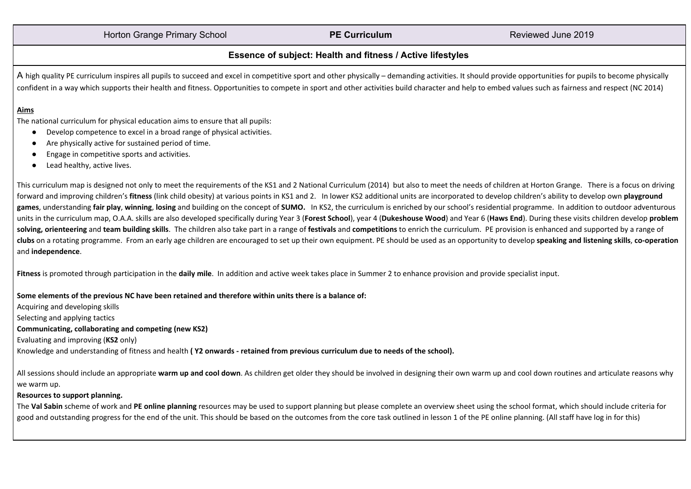# Horton Grange Primary School **PE Curriculum** Reviewed June 2019

# **Essence of subject: Health and fitness / Active lifestyles**

A high quality PE curriculum inspires all pupils to succeed and excel in competitive sport and other physically – demanding activities. It should provide opportunities for pupils to become physically confident in a way which supports their health and fitness. Opportunities to compete in sport and other activities build character and help to embed values such as fairness and respect (NC 2014)

### **Aims**

The national curriculum for physical education aims to ensure that all pupils:

- Develop competence to excel in a broad range of physical activities.
- Are physically active for sustained period of time.
- Engage in competitive sports and activities.
- Lead healthy, active lives.

This curriculum map is designed not only to meet the requirements of the KS1 and 2 National Curriculum (2014) but also to meet the needs of children at Horton Grange. There is a focus on driving forward and improving children's **fitness** (link child obesity) at various points in KS1 and 2. In lower KS2 additional units are incorporated to develop children's ability to develop own **playground** games, understanding fair play, winning, losing and building on the concept of SUMO. In KS2, the curriculum is enriched by our school's residential programme. In addition to outdoor adventurous units in the curriculum map, O.A.A. skills are also developed specifically during Year 3 (Forest School), year 4 (Dukeshouse Wood) and Year 6 (Haws End). During these visits children develop problem solving, orienteering and team building skills. The children also take part in a range of festivals and competitions to enrich the curriculum. PE provision is enhanced and supported by a range of clubs on a rotating programme. From an early age children are encouraged to set up their own equipment. PE should be used as an opportunity to develop speaking and listening skills, co-operation and **independence**.

**Fitness** is promoted through participation in the **daily mile**. In addition and active week takes place in Summer 2 to enhance provision and provide specialist input.

#### Some elements of the previous NC have been retained and therefore within units there is a balance of:

Acquiring and developing skills Selecting and applying tactics

#### **Communicating, collaborating and competing (new KS2)**

Evaluating and improving (**KS2** only)

Knowledge and understanding of fitness and health (Y2 onwards - retained from previous curriculum due to needs of the school).

All sessions should include an appropriate warm up and cool down. As children get older they should be involved in designing their own warm up and cool down routines and articulate reasons why we warm up.

#### **Resources to support planning.**

The Val Sabin scheme of work and PE online planning resources may be used to support planning but please complete an overview sheet using the school format, which should include criteria for good and outstanding progress for the end of the unit. This should be based on the outcomes from the core task outlined in lesson 1 of the PE online planning. (All staff have log in for this)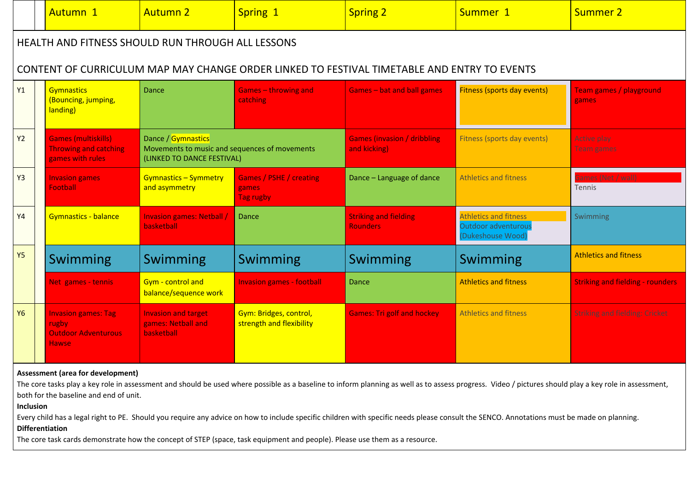|           |                                                                                             | Autumn 1                                                                          | <b>Autumn 2</b>                                                                                   | Spring 1                                             | <b>Spring 2</b>                                     | Summer 1                                                                 | <b>Summer 2</b>                         |  |
|-----------|---------------------------------------------------------------------------------------------|-----------------------------------------------------------------------------------|---------------------------------------------------------------------------------------------------|------------------------------------------------------|-----------------------------------------------------|--------------------------------------------------------------------------|-----------------------------------------|--|
|           | HEALTH AND FITNESS SHOULD RUN THROUGH ALL LESSONS                                           |                                                                                   |                                                                                                   |                                                      |                                                     |                                                                          |                                         |  |
|           | CONTENT OF CURRICULUM MAP MAY CHANGE ORDER LINKED TO FESTIVAL TIMETABLE AND ENTRY TO EVENTS |                                                                                   |                                                                                                   |                                                      |                                                     |                                                                          |                                         |  |
| Y1        |                                                                                             | <b>Gymnastics</b><br>(Bouncing, jumping,<br>landing)                              | Dance                                                                                             | <b>Games - throwing and</b><br>catching              | <b>Games-bat and ball games</b>                     | <b>Fitness (sports day events)</b>                                       | <b>Team games / playground</b><br>games |  |
| Y2        |                                                                                             | <b>Games (multiskills)</b><br><b>Throwing and catching</b><br>games with rules    | Dance / Gymnastics<br>Movements to music and sequences of movements<br>(LINKED TO DANCE FESTIVAL) |                                                      | <b>Games (invasion / dribbling)</b><br>and kicking) | Fitness (sports day events)                                              | Active play<br><b>Team games</b>        |  |
| Y3        |                                                                                             | <b>Invasion games</b><br><b>Football</b>                                          | <b>Gymnastics - Symmetry</b><br>and asymmetry                                                     | <b>Games / PSHE / creating</b><br>games<br>Tag rugby | Dance - Language of dance                           | <b>Athletics and fitness</b>                                             | Games (Net / wall)<br><b>Tennis</b>     |  |
| Y4        |                                                                                             | Gymnastics - balance                                                              | <b>Invasion games: Netball</b><br>basketball                                                      | Dance                                                | <b>Striking and fielding</b><br><b>Rounders</b>     | <b>Athletics and fitness</b><br>Outdoor adventurous<br>(Dukeshouse Wood) | Swimming                                |  |
| <b>Y5</b> |                                                                                             | Swimming                                                                          | Swimming                                                                                          | <b>Swimming</b>                                      | Swimming                                            | Swimming                                                                 | <b>Athletics and fitness</b>            |  |
|           |                                                                                             | Net games - tennis                                                                | Gym - control and<br>balance/sequence work                                                        | <b>Invasion games - football</b>                     | <b>Dance</b>                                        | <b>Athletics and fitness</b>                                             | <b>Striking and fielding - rounders</b> |  |
| <b>Y6</b> |                                                                                             | <b>Invasion games: Tag</b><br>rugby<br><b>Outdoor Adventurous</b><br><b>Hawse</b> | <b>Invasion and target</b><br>games: Netball and<br>basketball                                    | Gym: Bridges, control,<br>strength and flexibility   | <b>Games: Tri golf and hockey</b>                   | <b>Athletics and fitness</b>                                             | <b>Striking and fielding: Cricket</b>   |  |

# **Assessment (area for development)**

The core tasks play a key role in assessment and should be used where possible as a baseline to inform planning as well as to assess progress. Video / pictures should play a key role in assessment, both for the baseline and end of unit.

# **Inclusion**

Every child has a legal right to PE. Should you require any advice on how to include specific children with specific needs please consult the SENCO. Annotations must be made on planning. **Differentiation**

The core task cards demonstrate how the concept of STEP (space, task equipment and people). Please use them as a resource.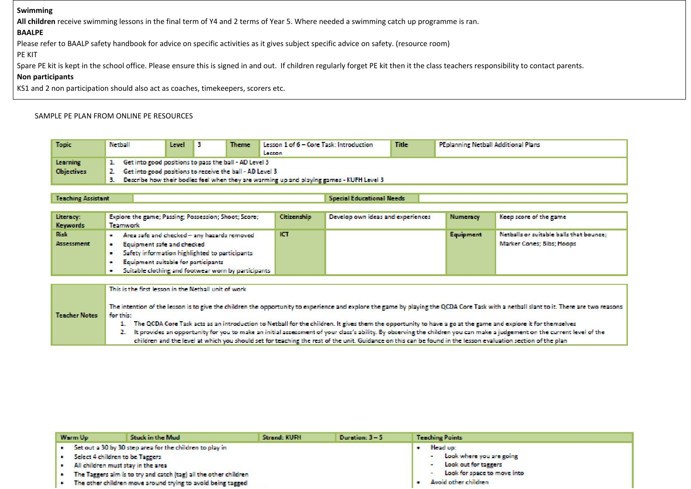#### **Swimming**

**All children** receive swimming lessons in the final term of Y4 and 2 terms of Year 5. Where needed a swimming catch up programme is ran.

## **BAALPE**

Please refer to BAALP safety handbook for advice on specific activities as it gives subject specific advice on safety. (resource room)

PE KIT

Spare PE kit is kept in the school office. Please ensure this is signed in and out. If children regularly forget PE kit then it the class teachers responsibility to contact parents.

## **Non participants**

KS1 and 2 non participation should also act as coaches, timekeepers, scorers etc.

## SAMPLE PE PLAN FROM ONLINE PE RESOURCES

| <b>Topic</b>      | Netball                                                                                     | Level |  | <b>Theme</b> | Lesson 1 of 6 - Core Task: Introduction<br>Lesson | <b>Title</b> | <b>PEplanning Netball Additional Plans</b> |
|-------------------|---------------------------------------------------------------------------------------------|-------|--|--------------|---------------------------------------------------|--------------|--------------------------------------------|
| Learning          | 1. Get into good positions to pass the ball - AD Level 3                                    |       |  |              |                                                   |              |                                            |
| <b>Objectives</b> | 2. Get into good positions to receive the ball - AD Level 3                                 |       |  |              |                                                   |              |                                            |
|                   | 3. Describe how their bodies feel when they are warming up and playing games - KUFH Level 3 |       |  |              |                                                   |              |                                            |

#### **Teaching Assistant**

**Special Educational Needs** 

| Literacy:<br><b>Keywords</b>     | Explore the game; Passing; Possession; Shoot; Score;<br>Teamwork                                                                                                                                                                       | Citizenship | Develop own ideas and experiences | <b>Numeracy</b> | Keep score of the game                                               |
|----------------------------------|----------------------------------------------------------------------------------------------------------------------------------------------------------------------------------------------------------------------------------------|-------------|-----------------------------------|-----------------|----------------------------------------------------------------------|
| <b>Risk</b><br><b>Assessment</b> | Area safe and checked - any hazards removed<br>Equipment safe and checked<br>Safety information highlighted to participants<br>Equipment suitable for participants<br>$\bullet$<br>Suitable clothing and footwear worn by participants | ICT         |                                   | Equipment       | Netballs or suitable balls that bounce;<br>Marker Cones: Bibs: Hoops |

This is the first lesson in the Netball unit of work

The intention of the lesson is to give the children the opportunity to experience and explore the game by playing the QCDA Core Task with a netball slant to it. There are two reasons **Teacher Notes** for this:

1. The QCDA Core Task acts as an introduction to Netball for the children. It gives them the opportunity to have a go at the game and explore it for themselves

2. It provides an opportunity for you to make an initial assessment of your class's ability. By observing the children you can make a judgement on the current level of the children and the level at which you should set for teaching the rest of the unit. Guidance on this can be found in the lesson evaluation section of the plan

|                                                                      | Warm Up | Stuck in the Mud                                                   | Strand: KUFH | Duration: 3 - 5                                    | <b>Teaching Points</b> |  |
|----------------------------------------------------------------------|---------|--------------------------------------------------------------------|--------------|----------------------------------------------------|------------------------|--|
| Set out a 30 by 30 step area for the children to play in<br>Head up: |         |                                                                    |              |                                                    |                        |  |
|                                                                      |         | Select 4 children to be Taggers                                    |              | - Look where you are going<br>Look out for taggers |                        |  |
|                                                                      |         | All children must stay in the area                                 |              |                                                    |                        |  |
|                                                                      |         | . The Taggers aim is to try and catch (tag) all the other children |              | Look for space to move into                        |                        |  |
|                                                                      |         | The other children move around trying to avoid being tagged        |              | Avoid other children                               |                        |  |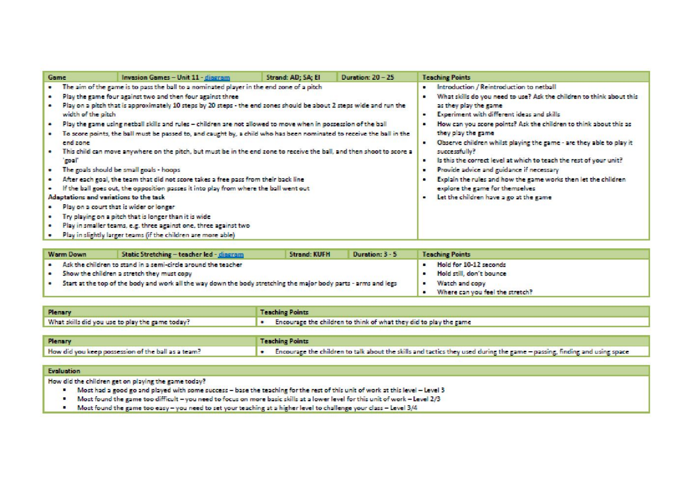|                                                                                                                                          | <b>Warm Down</b>                                                                        | Static Stretching - teacher led - dingram | <b>Strand: KUFH</b> | Duration: 3 - 5 | <b>Teaching Points</b>          |  |  |
|------------------------------------------------------------------------------------------------------------------------------------------|-----------------------------------------------------------------------------------------|-------------------------------------------|---------------------|-----------------|---------------------------------|--|--|
|                                                                                                                                          | Ask the children to stand in a semi-circle around the teacher<br>Hold for 10-12 seconds |                                           |                     |                 |                                 |  |  |
| Show the children a stretch they must copy<br>. .                                                                                        |                                                                                         |                                           |                     |                 | Hold still, don't bounce        |  |  |
| Start at the top of the body and work all the way down the body stretching the major body parts - arms and legs<br>Watch and copy<br>. . |                                                                                         |                                           |                     |                 |                                 |  |  |
|                                                                                                                                          |                                                                                         |                                           |                     |                 | Where can you feel the stretch? |  |  |

| <b>Plenary</b>                                  | <b>Teaching Points</b>                                                      |
|-------------------------------------------------|-----------------------------------------------------------------------------|
| What skills did you use to play the game today? | $\bullet$ Encourage the children to think of what they did to play the game |

| <b>Plenary</b>                                     | <b>Teaching Points</b>                                                                                                       |
|----------------------------------------------------|------------------------------------------------------------------------------------------------------------------------------|
| How did you keep possession of the ball as a team? | [ . Encourage the children to talk about the skills and tactics they used during the game - passing, finding and using space |

#### Evaluation

How did the children get on playing the game today?

- . Most had a good go and played with some success base the teaching for the rest of this unit of work at this level Level 3
- "Most found the game too difficult you need to focus on more basic skills at a lower level for this unit of work Level 2/3
- . Most found the game too easy you need to set your teaching at a higher level to challenge your class Level 3/4